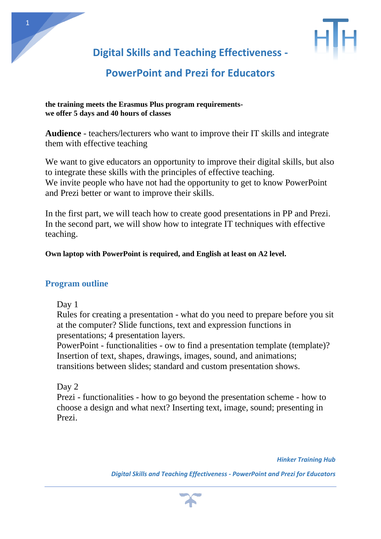

**Digital Skills and Teaching Effectiveness -**

# **PowerPoint and Prezi for Educators**

#### **the training meets the Erasmus Plus program requirementswe offer 5 days and 40 hours of classes**

**Audience** - teachers/lecturers who want to improve their IT skills and integrate them with effective teaching

We want to give educators an opportunity to improve their digital skills, but also to integrate these skills with the principles of effective teaching. We invite people who have not had the opportunity to get to know PowerPoint and Prezi better or want to improve their skills.

In the first part, we will teach how to create good presentations in PP and Prezi. In the second part, we will show how to integrate IT techniques with effective teaching.

## **Own laptop with PowerPoint is required, and English at least on A2 level.**

## **Program outline**

Day 1

Rules for creating a presentation - what do you need to prepare before you sit at the computer? Slide functions, text and expression functions in presentations; 4 presentation layers.

PowerPoint - functionalities - ow to find a presentation template (template)? Insertion of text, shapes, drawings, images, sound, and animations; transitions between slides; standard and custom presentation shows.

Day 2

Prezi - functionalities - how to go beyond the presentation scheme - how to choose a design and what next? Inserting text, image, sound; presenting in Prezi.

*Hinker Training Hub* 

*Digital Skills and Teaching Effectiveness - PowerPoint and Prezi for Educators*